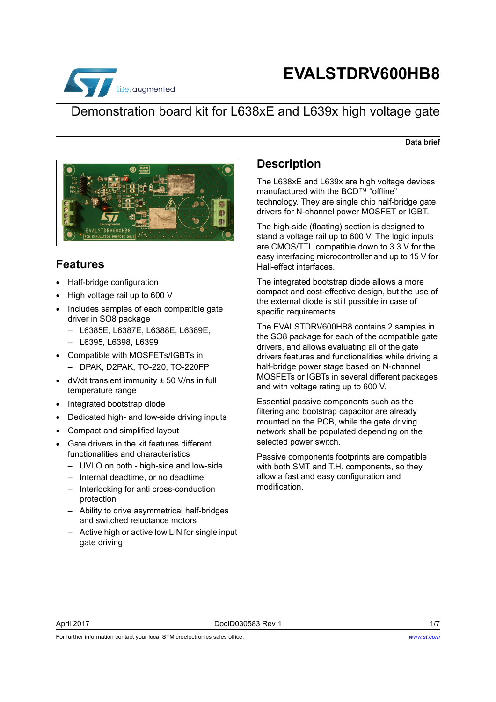

# **EVALSTDRV600HB8**

### Demonstration board kit for L638xE and L639x high voltage gate

#### **Data brief**



#### **Features**

- Half-bridge configuration
- High voltage rail up to 600 V
- Includes samples of each compatible gate driver in SO8 package
	- L6385E, L6387E, L6388E, L6389E,
	- L6395, L6398, L6399
- Compatible with MOSFETs/IGBTs in – DPAK, D2PAK, TO-220, TO-220FP
- dV/dt transient immunity ± 50 V/ns in full temperature range
- Integrated bootstrap diode
- Dedicated high- and low-side driving inputs
- Compact and simplified layout
- Gate drivers in the kit features different functionalities and characteristics
	- UVLO on both high-side and low-side
	- Internal deadtime, or no deadtime
	- Interlocking for anti cross-conduction protection
	- Ability to drive asymmetrical half-bridges and switched reluctance motors
	- Active high or active low LIN for single input gate driving

#### **Description**

The L638xE and L639x are high voltage devices manufactured with the BCD™ "offline" technology. They are single chip half-bridge gate drivers for N-channel power MOSFET or IGBT.

The high-side (floating) section is designed to stand a voltage rail up to 600 V. The logic inputs are CMOS/TTL compatible down to 3.3 V for the easy interfacing microcontroller and up to 15 V for Hall-effect interfaces.

The integrated bootstrap diode allows a more compact and cost-effective design, but the use of the external diode is still possible in case of specific requirements.

The EVALSTDRV600HB8 contains 2 samples in the SO8 package for each of the compatible gate drivers, and allows evaluating all of the gate drivers features and functionalities while driving a half-bridge power stage based on N-channel MOSFETs or IGBTs in several different packages and with voltage rating up to 600 V.

Essential passive components such as the filtering and bootstrap capacitor are already mounted on the PCB, while the gate driving network shall be populated depending on the selected power switch.

Passive components footprints are compatible with both SMT and T.H. components, so they allow a fast and easy configuration and modification.

For further information contact your local STMicroelectronics sales office.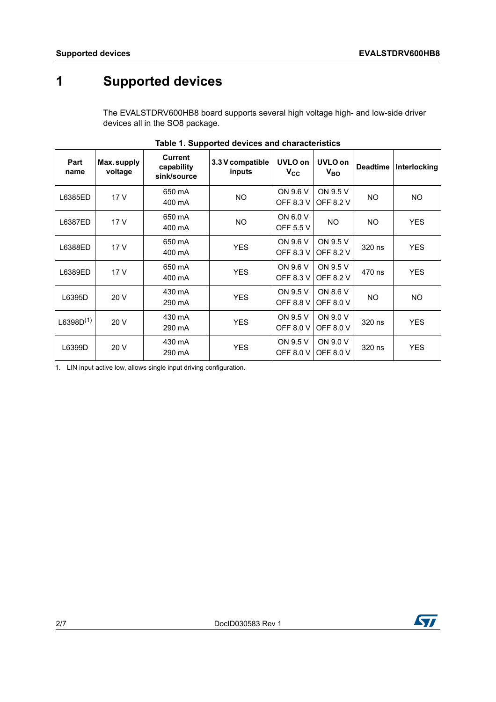### **1 Supported devices**

The EVALSTDRV600HB8 board supports several high voltage high- and low-side driver devices all in the SO8 package.

| Part<br>name   | Max.supply<br>voltage | <b>Current</b><br>capability<br>sink/source | 3.3 V compatible<br>inputs | UVLO on<br>$V_{CC}$          | UVLO on<br>$V_{BO}$          | <b>Deadtime</b> | Interlocking |
|----------------|-----------------------|---------------------------------------------|----------------------------|------------------------------|------------------------------|-----------------|--------------|
| L6385ED        | 17 V                  | 650 mA<br>400 mA                            | <b>NO</b>                  | ON 9.6 V<br>OFF 8.3 V        | ON 9.5 V<br><b>OFF 8.2 V</b> | NO.             | <b>NO</b>    |
| L6387ED        | 17 V                  | 650 mA<br>400 mA                            | <b>NO</b>                  | ON 6.0 V<br>OFF 5.5 V        | <b>NO</b>                    | NO.             | <b>YES</b>   |
| L6388ED        | 17 V                  | 650 mA<br>400 mA                            | <b>YES</b>                 | ON 9.6 V<br>OFF 8.3 V        | ON 9.5 V<br><b>OFF 8.2 V</b> | 320 ns          | <b>YES</b>   |
| L6389ED        | 17 V                  | 650 mA<br>400 mA                            | <b>YES</b>                 | ON 9.6 V<br><b>OFF 8.3 V</b> | ON 9.5 V<br><b>OFF 8.2 V</b> | 470 ns          | <b>YES</b>   |
| L6395D         | 20V                   | 430 mA<br>290 mA                            | <b>YES</b>                 | ON 9.5 V<br><b>OFF 8.8 V</b> | ON 8.6 V<br><b>OFF 8.0 V</b> | NO.             | NO.          |
| $L6398D^{(1)}$ | 20 V                  | 430 mA<br>290 mA                            | <b>YES</b>                 | ON 9.5 V<br><b>OFF 8.0 V</b> | ON 9.0 V<br><b>OFF 8.0 V</b> | 320 ns          | <b>YES</b>   |
| L6399D         | 20 V                  | 430 mA<br>290 mA                            | <b>YES</b>                 | ON 9.5 V<br><b>OFF 8.0 V</b> | ON 9.0 V<br><b>OFF 8.0 V</b> | 320 ns          | <b>YES</b>   |

|  |  |  |  |  | Table 1. Supported devices and characteristics |
|--|--|--|--|--|------------------------------------------------|
|--|--|--|--|--|------------------------------------------------|

1. LIN input active low, allows single input driving configuration.

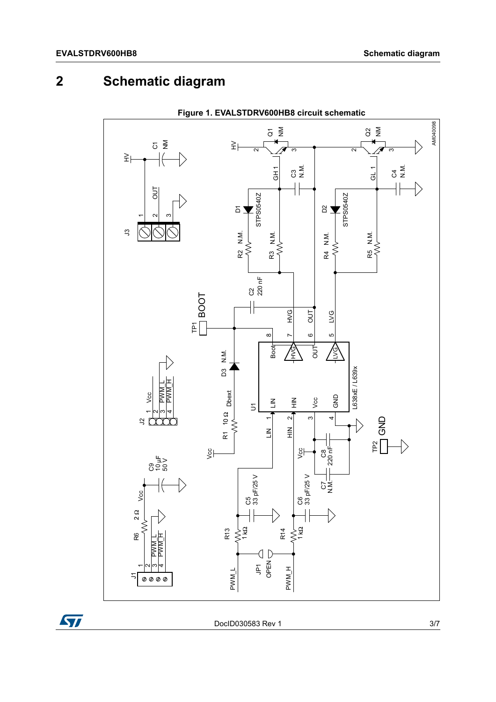## **2 Schematic diagram**



**Figure 1. EVALSTDRV600HB8 circuit schematic**

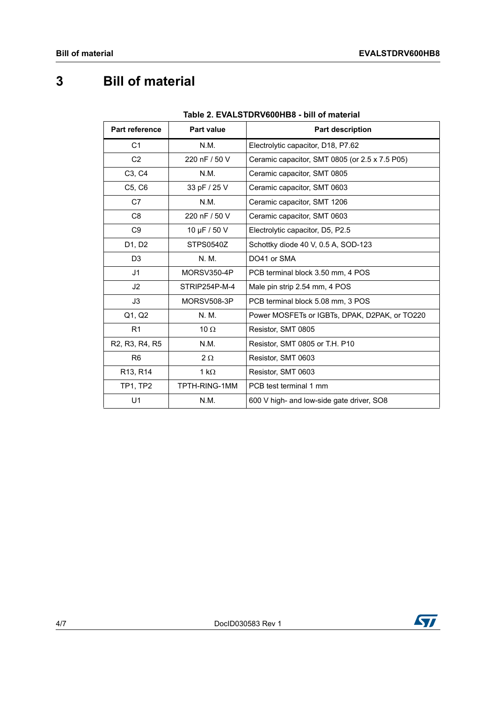## **3 Bill of material**

| 1996 - LVALSTDRVOVUIDO - 9111 VIIII GLETIAI                       |                   |                                                |  |  |  |
|-------------------------------------------------------------------|-------------------|------------------------------------------------|--|--|--|
| <b>Part reference</b>                                             | <b>Part value</b> | <b>Part description</b>                        |  |  |  |
| C1                                                                | N.M.              | Electrolytic capacitor, D18, P7.62             |  |  |  |
| C <sub>2</sub>                                                    | 220 nF / 50 V     | Ceramic capacitor, SMT 0805 (or 2.5 x 7.5 P05) |  |  |  |
| C3, C4                                                            | N.M.              | Ceramic capacitor, SMT 0805                    |  |  |  |
| C5, C6                                                            | 33 pF / 25 V      | Ceramic capacitor, SMT 0603                    |  |  |  |
| C7                                                                | N.M.              | Ceramic capacitor, SMT 1206                    |  |  |  |
| C <sub>8</sub>                                                    | 220 nF / 50 V     | Ceramic capacitor, SMT 0603                    |  |  |  |
| C <sub>9</sub>                                                    | 10 µF / 50 V      | Electrolytic capacitor, D5, P2.5               |  |  |  |
| D1, D2                                                            | STPS0540Z         | Schottky diode 40 V, 0.5 A, SOD-123            |  |  |  |
| D <sub>3</sub>                                                    | N. M.             | DO41 or SMA                                    |  |  |  |
| J <sub>1</sub>                                                    | MORSV350-4P       | PCB terminal block 3.50 mm, 4 POS              |  |  |  |
| J <sub>2</sub>                                                    | STRIP254P-M-4     | Male pin strip 2.54 mm, 4 POS                  |  |  |  |
| J3                                                                | MORSV508-3P       | PCB terminal block 5.08 mm, 3 POS              |  |  |  |
| Q1, Q2                                                            | N. M.             | Power MOSFETs or IGBTs, DPAK, D2PAK, or TO220  |  |  |  |
| R <sub>1</sub>                                                    | 10 $\Omega$       | Resistor, SMT 0805                             |  |  |  |
| R <sub>2</sub> , R <sub>3</sub> , R <sub>4</sub> , R <sub>5</sub> | N.M.              | Resistor, SMT 0805 or T.H. P10                 |  |  |  |
| R <sub>6</sub>                                                    | $2 \Omega$        | Resistor, SMT 0603                             |  |  |  |
| R13, R14                                                          | 1 $k\Omega$       | Resistor, SMT 0603                             |  |  |  |
| <b>TP1, TP2</b>                                                   | TPTH-RING-1MM     | PCB test terminal 1 mm                         |  |  |  |
| U1                                                                | N.M.              | 600 V high- and low-side gate driver, SO8      |  |  |  |

#### **Table 2. EVALSTDRV600HB8 - bill of material**

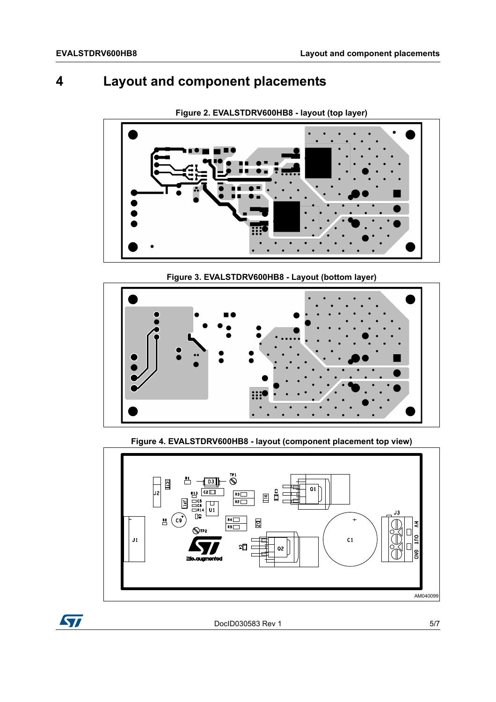### **4 Layout and component placements**



**Figure 2. EVALSTDRV600HB8 - layout (top layer)**

**Figure 3. EVALSTDRV600HB8 - Layout (bottom layer)**



**Figure 4. EVALSTDRV600HB8 - layout (component placement top view)**



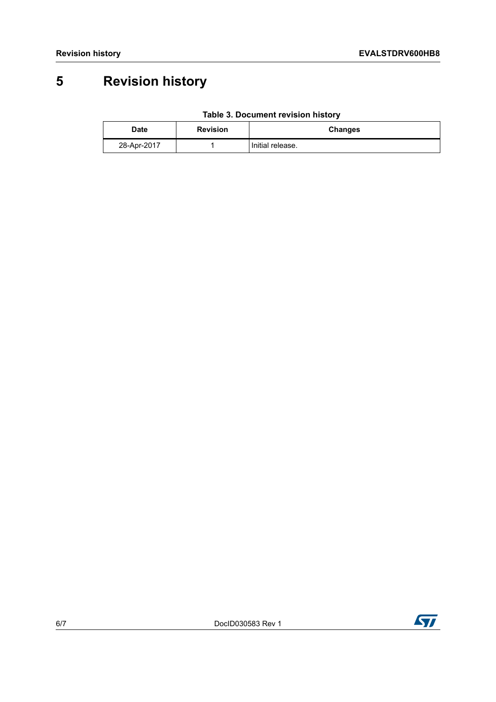## **5 Revision history**

| <b>Date</b> | <b>Revision</b> | <b>Changes</b>   |
|-------------|-----------------|------------------|
| 28-Apr-2017 |                 | Initial release. |